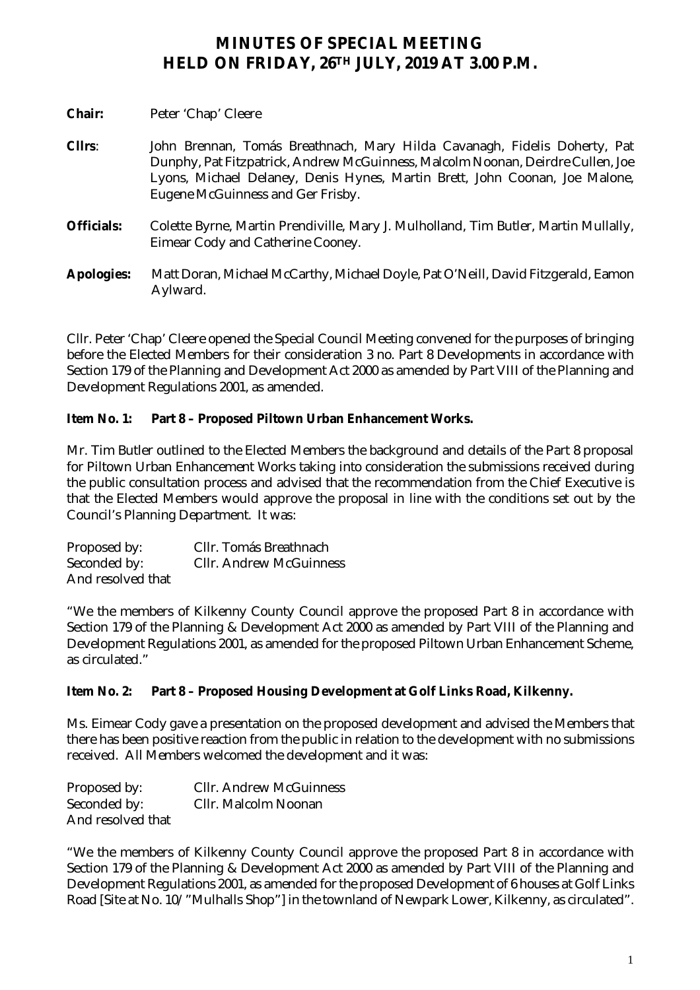## **MINUTES OF SPECIAL MEETING HELD ON FRIDAY, 26TH JULY, 2019 AT 3.00 P.M.**

| Chair:            | Peter 'Chap' Cleere                                                                                                                                                                                                                                                              |
|-------------------|----------------------------------------------------------------------------------------------------------------------------------------------------------------------------------------------------------------------------------------------------------------------------------|
| CIIrs:            | John Brennan, Tomás Breathnach, Mary Hilda Cavanagh, Fidelis Doherty, Pat<br>Dunphy, Pat Fitzpatrick, Andrew McGuinness, Malcolm Noonan, Deirdre Cullen, Joe<br>Lyons, Michael Delaney, Denis Hynes, Martin Brett, John Coonan, Joe Malone,<br>Eugene McGuinness and Ger Frisby. |
| <b>Officials:</b> | Colette Byrne, Martin Prendiville, Mary J. Mulholland, Tim Butler, Martin Mullally,<br>Eimear Cody and Catherine Cooney.                                                                                                                                                         |
| <b>Apologies:</b> | Matt Doran, Michael McCarthy, Michael Doyle, Pat O'Neill, David Fitzgerald, Eamon<br>Aylward.                                                                                                                                                                                    |

Cllr. Peter 'Chap' Cleere opened the Special Council Meeting convened for the purposes of bringing before the Elected Members for their consideration 3 no. Part 8 Developments in accordance with Section 179 of the Planning and Development Act 2000 as amended by Part VIII of the Planning and Development Regulations 2001, as amended.

## **Item No. 1: Part 8 – Proposed Piltown Urban Enhancement Works.**

Mr. Tim Butler outlined to the Elected Members the background and details of the Part 8 proposal for Piltown Urban Enhancement Works taking into consideration the submissions received during the public consultation process and advised that the recommendation from the Chief Executive is that the Elected Members would approve the proposal in line with the conditions set out by the Council's Planning Department. It was:

| Proposed by:      | CIIr. Tomás Breathnach         |
|-------------------|--------------------------------|
| Seconded by:      | <b>CIIr. Andrew McGuinness</b> |
| And resolved that |                                |

"We the members of Kilkenny County Council approve the proposed Part 8 in accordance with Section 179 of the Planning & Development Act 2000 as amended by Part VIII of the Planning and Development Regulations 2001, as amended for the proposed Piltown Urban Enhancement Scheme, as circulated."

## **Item No. 2: Part 8 – Proposed Housing Development at Golf Links Road, Kilkenny.**

Ms. Eimear Cody gave a presentation on the proposed development and advised the Members that there has been positive reaction from the public in relation to the development with no submissions received. All Members welcomed the development and it was:

| Proposed by:      | <b>CIIr. Andrew McGuinness</b> |
|-------------------|--------------------------------|
| Seconded by:      | CIIr. Malcolm Noonan           |
| And resolved that |                                |

"We the members of Kilkenny County Council approve the proposed Part 8 in accordance with Section 179 of the Planning & Development Act 2000 as amended by Part VIII of the Planning and Development Regulations 2001, as amended for the proposed Development of 6 houses at Golf Links Road [Site at No. 10/" Mulhalls Shop"] in the townland of Newpark Lower, Kilkenny, as circulated".